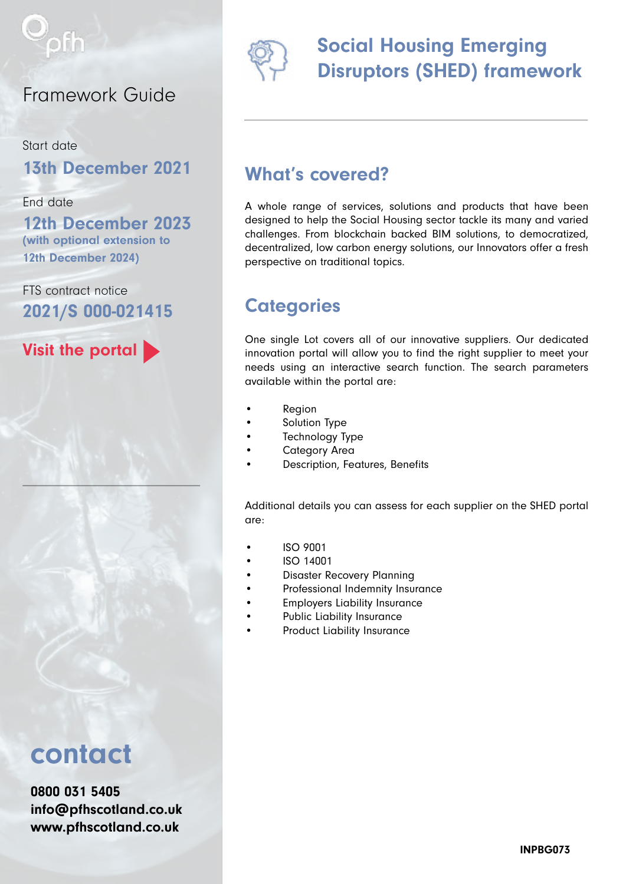

#### Framework Guide

Start date 13th December 2021

End date

12th December 2023 (with optional extension to 12th December 2024)

FTS contract notice 2021/S 000-021415

Visit the portal

# contact

0800 031 5405 [info@pfhscotland.co.uk](mailto:info%40pfhscotland.co.uk?subject=) [www.pfhscotland.co.uk](http://www.pfhscotland.co.uk)



## Social Housing Emerging Disruptors (SHED) framework

#### What's covered?

A whole range of services, solutions and products that have been designed to help the Social Housing sector tackle its many and varied challenges. From blockchain backed BIM solutions, to democratized, decentralized, low carbon energy solutions, our Innovators offer a fresh perspective on traditional topics.

### **Categories**

One single Lot covers all of our innovative suppliers. Our dedicated innovation portal will allow you to find the right supplier to meet your needs using an interactive search function. The search parameters available within the portal are:

- **Region**
- Solution Type
- Technology Type
- Category Area
- Description, Features, Benefits

Additional details you can assess for each supplier on the SHED portal are:

- ISO 9001
- ISO 14001
- Disaster Recovery Planning
- Professional Indemnity Insurance
- Employers Liability Insurance
- Public Liability Insurance
- Product Liability Insurance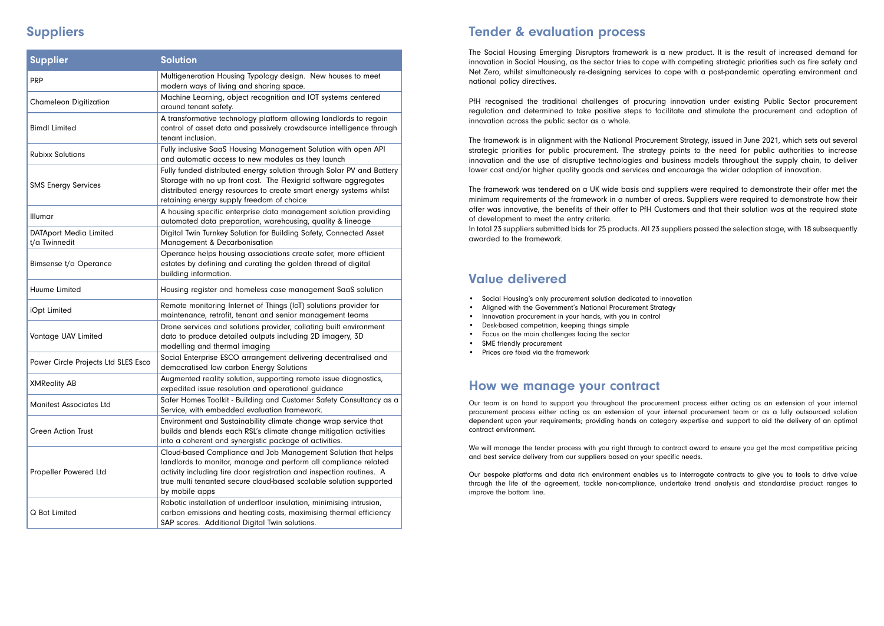#### Suppliers Tender & evaluation process

The Social Housing Emerging Disruptors framework is a new product. It is the result of increased demand for innovation in Social Housing, as the sector tries to cope with competing strategic priorities such as fire safety and Net Zero, whilst simultaneously re-designing services to cope with a post-pandemic operating environment and national policy directives.

PfH recognised the traditional challenges of procuring innovation under existing Public Sector procurement regulation and determined to take positive steps to facilitate and stimulate the procurement and adoption of innovation across the public sector as a whole.

The framework is in alignment with the National Procurement Strategy, issued in June 2021, which sets out several strategic priorities for public procurement. The strategy points to the need for public authorities to increase innovation and the use of disruptive technologies and business models throughout the supply chain, to deliver lower cost and/or higher quality goods and services and encourage the wider adoption of innovation.

The framework was tendered on a UK wide basis and suppliers were required to demonstrate their offer met the minimum requirements of the framework in a number of areas. Suppliers were required to demonstrate how their offer was innovative, the benefits of their offer to PfH Customers and that their solution was at the required state of development to meet the entry criteria.

In total 23 suppliers submitted bids for 25 products. All 23 suppliers passed the selection stage, with 18 subsequently awarded to the framework.

#### Value delivered

- Social Housing's only procurement solution dedicated to innovation
- Aligned with the Government's National Procurement Strategy
- Innovation procurement in your hands, with you in control
- Desk-based competition, keeping things simple
- Focus on the main challenges facing the sector
- SME friendly procurement
- Prices are fixed via the framework

Our team is on hand to support you throughout the procurement process either acting as an extension of your internal procurement process either acting as an extension of your internal procurement team or as a fully outsourced solution dependent upon your requirements; providing hands on category expertise and support to aid the delivery of an optimal contract environment.

We will manage the tender process with you right through to contract award to ensure you get the most competitive pricing and best service delivery from our suppliers based on your specific needs.

Our bespoke platforms and data rich environment enables us to interrogate contracts to give you to tools to drive value through the life of the agreement, tackle non-compliance, undertake trend analysis and standardise product ranges to improve the bottom line.

#### How we manage your contract

| <b>Supplier</b>                                | <b>Solution</b>                                                                                                                                                                                                                                                                                  |
|------------------------------------------------|--------------------------------------------------------------------------------------------------------------------------------------------------------------------------------------------------------------------------------------------------------------------------------------------------|
| <b>PRP</b>                                     | Multigeneration Housing Typology design. New houses to meet<br>modern ways of living and sharing space.                                                                                                                                                                                          |
| <b>Chameleon Digitization</b>                  | Machine Learning, object recognition and IOT systems centered<br>around tenant safety.                                                                                                                                                                                                           |
| <b>Bimdl Limited</b>                           | A transformative technology platform allowing landlords to regain<br>control of asset data and passively crowdsource intelligence through<br>tenant inclusion.                                                                                                                                   |
| <b>Rubixx Solutions</b>                        | Fully inclusive SaaS Housing Management Solution with open API<br>and automatic access to new modules as they launch                                                                                                                                                                             |
| <b>SMS Energy Services</b>                     | Fully funded distributed energy solution through Solar PV and Battery<br>Storage with no up front cost. The Flexigrid software aggregates<br>distributed energy resources to create smart energy systems whilst<br>retaining energy supply freedom of choice                                     |
| Illumar                                        | A housing specific enterprise data management solution providing<br>automated data preparation, warehousing, quality & lineage                                                                                                                                                                   |
| <b>DATAport Media Limited</b><br>t/a Twinnedit | Digital Twin Turnkey Solution for Building Safety, Connected Asset<br>Management & Decarbonisation                                                                                                                                                                                               |
| <b>Bimsense t/a Operance</b>                   | Operance helps housing associations create safer, more efficient<br>estates by defining and curating the golden thread of digital<br>building information.                                                                                                                                       |
| Huume Limited                                  | Housing register and homeless case management SaaS solution                                                                                                                                                                                                                                      |
| iOpt Limited                                   | Remote monitoring Internet of Things (IoT) solutions provider for<br>maintenance, retrofit, tenant and senior management teams                                                                                                                                                                   |
| Vantage UAV Limited                            | Drone services and solutions provider, collating built environment<br>data to produce detailed outputs including 2D imagery, 3D<br>modelling and thermal imaging                                                                                                                                 |
| Power Circle Projects Ltd SLES Esco            | Social Enterprise ESCO arrangement delivering decentralised and<br>democratised low carbon Energy Solutions                                                                                                                                                                                      |
| <b>XMReality AB</b>                            | Augmented reality solution, supporting remote issue diagnostics,<br>expedited issue resolution and operational guidance                                                                                                                                                                          |
| <b>Manifest Associates Ltd</b>                 | Safer Homes Toolkit - Building and Customer Safety Consultancy as a<br>Service, with embedded evaluation framework.                                                                                                                                                                              |
| <b>Green Action Trust</b>                      | Environment and Sustainability climate change wrap service that<br>builds and blends each RSL's climate change mitigation activities<br>into a coherent and synergistic package of activities.                                                                                                   |
| Propeller Powered Ltd                          | Cloud-based Compliance and Job Management Solution that helps<br>landlords to monitor, manage and perform all compliance related<br>activity including fire door registration and inspection routines. A<br>true multi tenanted secure cloud-based scalable solution supported<br>by mobile apps |
| Q Bot Limited                                  | Robotic installation of underfloor insulation, minimising intrusion,<br>carbon emissions and heating costs, maximising thermal efficiency<br>SAP scores. Additional Digital Twin solutions.                                                                                                      |